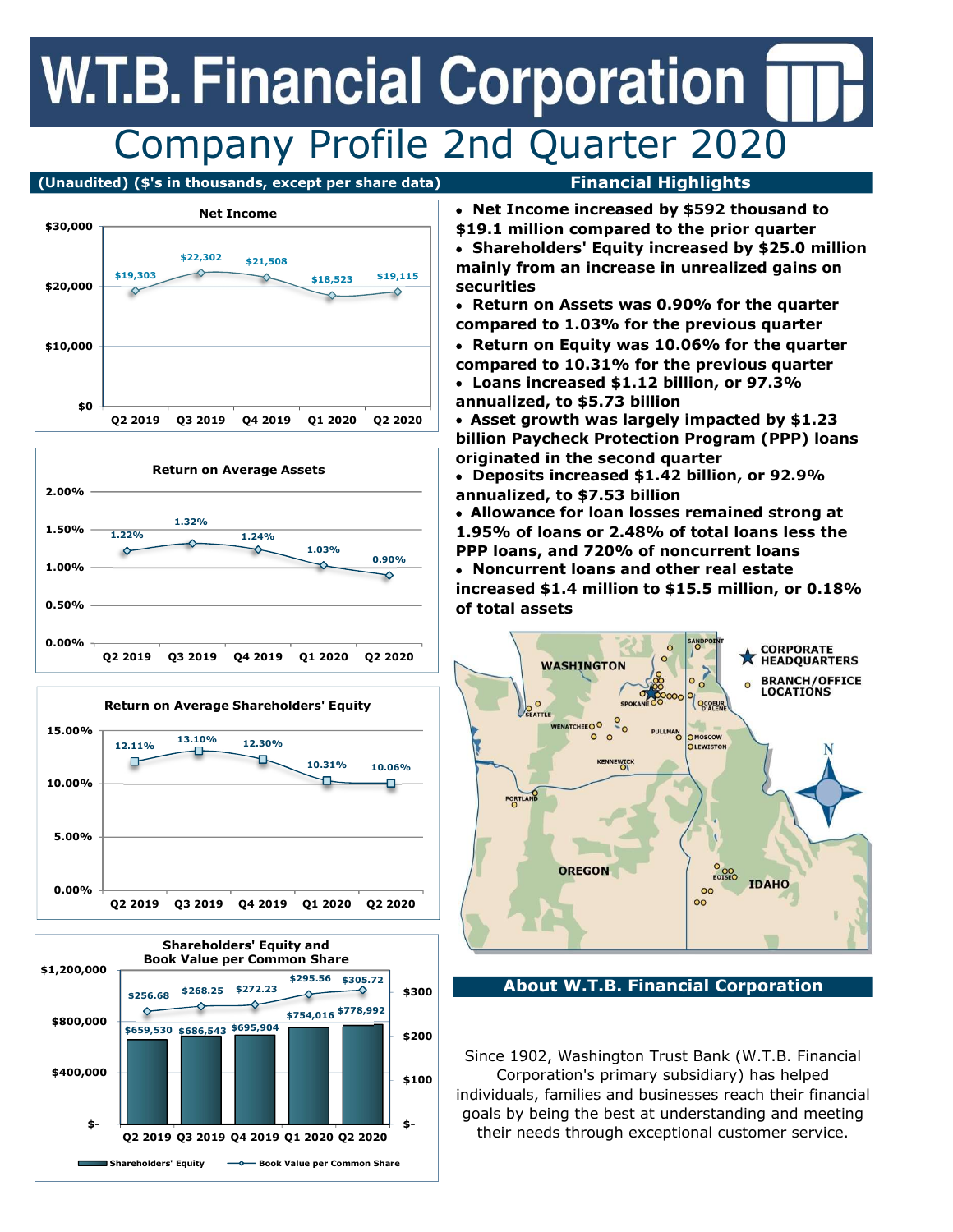# Company Profile 2nd Quarter 2020 **EXECUTE:**<br>
COMPANY Profile 2nd Quarter 2020<br>
( $\frac{1}{2}$ ) ( $\frac{1}{2}$ ) and  $\frac{1}{2}$ ) and  $\frac{1}{2}$ ) and  $\frac{1}{2}$ <br>
( $\frac{1}{2}$ ) and  $\frac{1}{2}$ ) and  $\frac{1}{2}$ <br>
( $\frac{1}{2}$ ) and  $\frac{1}{2}$ ) and  $\frac{1}{2}$ <br>
( $\frac{1}{2}$ ) and  $\frac{1}{$

# (Unaudited) (\$'s in thousands, except per share data) Financial Highlights



Net Income increased by \$592 thousand to









- 
- \$19.1 million compared to the prior quarter Shareholders' Equity increased by \$25.0 million  $\begin{array}{c|c|c|c|c|c} \hline \text{ $>$2,302$} & $21,508$ \hline \end{array}$  mainly from an increase in unrealized gains on securities \$18,523 \$19,115
	- Return on Assets was 0.90% for the quarter compared to 1.03% for the previous quarter
	- Loans increased \$1.12 billion, or 97.3% Return on Equity was 10.06% for the quarter compared to 10.31% for the previous quarter
	- annualized, to \$5.73 billion

Asset growth was largely impacted by \$1.23 billion Paycheck Protection Program (PPP) loans originated in the second quarter

Deposits increased \$1.42 billion, or 92.9%

increased \$1.4 million to \$15.5 million, or 0.18% Allowance for loan losses remained strong at  $\frac{1.22\%}{1.22\%}$   $\frac{1.24\%}{1.24\%}$  1.95% of loans or 2.48% of total loans less the  $1.03\%$  example and  $20\%$  of noncurrent loans 1.32%



\$300 About W.T.B. Financial Corporation

Since 1902, Washington Trust Bank (W.T.B. Financial \$100 Corporation's primary subsidiary) has helped individuals, families and businesses reach their financial goals by being the best at understanding and meeting \$-<br>
their needs through exceptional customer service.